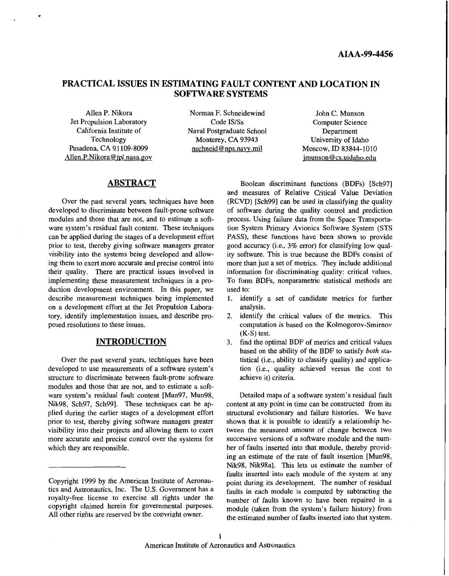# **PRACTICAL ISSUES IN ESTIMATING FAULT CONTENT AND LOCATION IN SOFTWARE SYSTEMS**

Jet Propulsion Laboratory Code IS/Ss Computer Science Conference Content Conference Computer Science Computer Science Computer Science Computer Science Computer Science Computer Science Computer Science Computer Science Co Technology Monterey, CA 93943<br>Pasadena, CA 91109-8099 nschneid@nps.navy.mil Allen.P.Nikora@jpl.nasa.gov

Allen P. Nikora Norman F. Schneidewind John C. Munson<br>
Code IS/Ss Computer Science Computer Science Francische Institute of Maval Postgraduate School Department<br>
Technology Monterey, CA 93943 University of Idaho

Moscow, ID 83844-1010 [jmunson@cs.uidaho.edu](mailto:jmunson@cs.uidaho.edu)

# **ABSTRACT**

Over the past several years, techniques have been developed to discriminate between fault-prone software modules and those that are not, and to estimate a software system's residual fault content. These techniques can be applied during the stages of a development effort prior to test, thereby giving software managers greater visibility into the systems being developed and allowing them to exert more accurate and precise control into their quality. There are practical issues involved in implementing these measurement techniques in a production development environment. In this paper, we describe measurement techniques being implemented on a development effort at the Jet Propulsion Laboratory, identify implementation issues, and describe proposed resolutions to these issues.

#### **INTRODUCTION**

Over the past several years, techniques have been developed to use measurements of a software system's structure to discriminate between fault-prone software modules and those that are not, and to estimate a software system's residual fault content [Mun97, Mun98, Nik98, Sch97, Sch99]. These techniques can be applied during the earlier stages of a development effort prior to test, thereby giving software managers greater visibility into their projects and allowing them to exert more accurate and precise control over the systems for which they are responsible.

Boolean discriminant functions (BDFs) [Sch97] and measures of Relative Critical Value Deviation (RCVD) [Sch99] can be used in classifying the quality of software during the quality control and prediction process. Using failure data from the Space Transportation System Primary Avionics Software System (STS PASS), these functions have been shown to provide good accuracy (i.e., 3% error) for classifying low quality software. This is true because the BDFs consist of more than just a set of metrics. They include additional information for discriminating quality: critical values. To form BDFs, nonparametric statistical methods are used to:

- 1. identify a set of candidate metrics for further analysis.
- 2. identify the critical values of the metrics. This computation is based on the Kolmogorov-Smirnov **(K-S)** test.
- 3. find the optimal BDF of metrics and critical values based on the ability of the BDF to satisfy *both* statistical (i.e., ability to classify quality) and application (i.e., quality achieved versus the cost to achieve it) criteria.

Detailed maps of a software system's residual fault content at any point in time can be constructed from its structural evolutionary and failure histories. We have shown that it is possible to identify a relationship between the measured amount of change between two successive versions of a software module and the number of faults inserted into that module, thereby providing an estimate of the rate of fault insertion [Mun98, Nik98, Nik98al. This lets us estimate the number of faults inserted into each module of the system at any point during its development. The number of residual faults in each module is computed by subtracting the number of faults known to have been repaired in a module (taken from the system's failure history) from the estimated number of faults inserted into that system.

Copyright 1999 by the American Institute of Aeronautics and Astronautics, Inc. The U.S. Government has a royalty-free license to exercise all rights under the copyright claimed herein for governmental purposes. All other rights are reserved bv the copyright owner.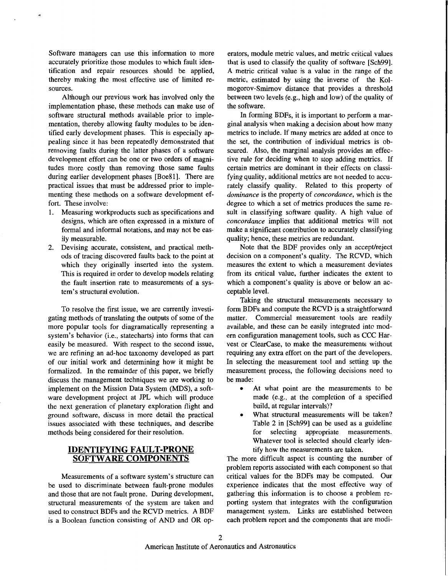Software managers can use this information to more accurately prioritize those modules to which fault identification and repair resources should be applied, thereby making the most effective use of limited resources.

Although our previous work has involved only the implementation phase, these methods can make use of software structural methods available prior to implementation, thereby allowing faulty modules to be identified early development phases. This is especially appealing since it has been repeatedly demonstrated that removing faults during the latter phases of a software development effort can be one or two orders of magnitudes more costly than removing those same faults during earlier development phases [Boe81]. There are practical issues that must be addressed prior to implementing these methods on a software development effort. These involve:

- Measuring workproducts such as specifications and designs, which are often expressed in a mixture of formal and informal notations, and may not be easily measurable.
- Devising accurate, consistent, and practical methods of tracing discovered faults back to the point at which they originally inserted into the system. This is required in order to develop models relating the fault insertion rate to measurements of a system's structural evolution.

To resolve the first issue, we are currently investigating methods of translating the outputs of some of the more popular tools for diagramatically representing a system's behavior (i.e., statecharts) into forms that can easily be measured. With respect to the second issue, we are refining an ad-hoc taxonomy developed as part of our initial work and determining how it might be formalized. In the remainder of this paper, we briefly discuss the management techniques we are working to implement on the Mission Data System (MDS), a software development project at JPL which will produce the next generation of planetary exploration flight and ground software, discuss in more detail the practical issues associated with these techniques, and describe methods being considered for their resolution.

### **IDENTIFYING FAULT-PRONE SOFTWARE COMPONENTS**

Measurements of a software system's structure can be used to discriminate between fault-prone modules and those that are not fault prone. During development, structural measurements of the system are taken and used to construct BDFs and the RCVD metrics. A BDF is a Boolean function consisting of AND and OR operators, module metric values, and metric critical values that is used to classify the quality of software [Sch99]. A metric critical value is a value in the range of the metric, estimated by using the inverse of the Kolmogorov-Smirnov distance that provides a threshold between two levels (e.g., high and low) of the quality of the software.

In forming BDFs, it is important to perform a marginal analysis when making a decision about how many metrics to include. If many metrics are added at once to the set, the contribution of individual metrics is obscured. Also, the marginal analysis provides an effective rule for deciding when to stop adding metrics. If certain metrics are dominant in their effects on classifying quality, additional metrics are not needed to accurately classify quality. Related to this property of *dominance* is the property of *concordance,* which is the degree to which a set of metrics produces the same result in classifying software quality. A high value of *concordance* implies that additional metrics will not make a significant contribution to accurately classifying quality; hence, these metrics are redundant.

Note that the BDF provides only an accept/reject decision on a component's quality. The RCVD, which measures the extent to which a measurement deviates from its critical value, further indicates the extent to which a component's quality is above or below an acceptable level.

Taking the structural measurements necessary to form BDFs and compute the RCVD is a straightforward matter. Commercial measurement tools are readily available, and these can be easily integrated into modern configuration management tools, such as CCC Harvest or ClearCase, to make the measurements without requiring any extra effort on the part of the developers. In selecting the measurement tool and setting up the measurement process, the following decisions need to be made:

- *0* At what point are the measurements to be made (e.g., at the completion of a specified build, at regular intervals)?
- What structural measurements will be taken? Table *2* in [Sch99] can be used as a guideline for selecting appropriate measurements. Whatever tool is selected should clearly identify how the measurements are taken.

The more difficult aspect is counting the number of problem reports associated with each component so that critical values for the BDFs may be computed. Our experience indicates that the most effective way of gathering this information is to choose a problem reporting system that integrates with the configuration management system. Links are established between each problem report and the components that are modi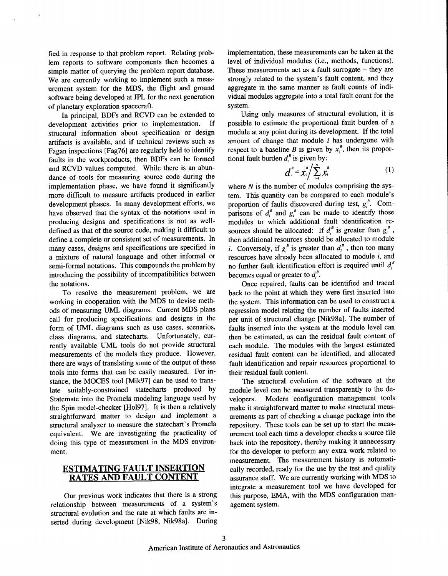fied in response to that problem report. Relating problem reports to software components then becomes a simple matter of querying the problem report database. We are currently working to implement such a measurement system for the MDS, the flight and ground software being developed at JPL for the next generation of planetary exploration spacecraft.

In principal, BDFs and RCVD can be extended to<br>elopment activities prior to implementation. If development activities prior to implementation. structural information about specification or design artifacts is available, and if technical reviews such as Fagan inspections [Fag76] are regularly held to identify faults in the workproducts, then BDFs can be formed and RCVD values computed. While there is an abundance of tools for measuring source code during the implementation phase, we have found it significantly more difficult to measure artifacts produced in earlier development phases. In many development efforts, we have observed that the syntax of the notations used in producing designs and specifications is not as welldefined as that of the source code, making it difficult to define a complete or consistent set of measurements. In many cases, designs and specifications are specified in a mixture of natural language and other informal or semi-formal notations. This compounds the problem by introducing the possibility of incompatibilities between the notations.

To resolve the measurement problem, we are working in cooperation with the MDS to devise methods of measuring UML diagrams. Current MDS plans call for producing specifications and designs in the form of UML diagrams such as use cases, scenarios, class diagrams, and statecharts. Unfortunately, currently available UML tools do not provide structural measurements of the models they produce. However, there are ways of translating some of the output of these tools into forms that can be easily measured. For instance, the MOCES tool [Mik97] can be used to translate suitably-constrained statecharts produced by Statemate into the Promela modeling language used by the Spin model-checker [Ho197]. It is then a relatively straightforward matter to design and implement a structural analyzer to measure the statechart's Promela equivalent. We are investigating the practicality of doing this type of measurement in the MDS environment.

# **ESTIMATING FAULT INSERTION RATES AND FAULT CONTENT**

Our previous work indicates that there is a strong relationship between measurements of a system's structural evolution and the rate at which faults are inserted during development [Nik98, Nik98al. During implementation, these measurements can be taken at the level of individual modules (i.e., methods, functions). These measurements act as a fault surrogate  $-$  they are strongly related to the system's fault content, and they aggregate in the same manner as fault counts of individual modules aggregate into a total fault count for the system.

Using only measures of structural evolution, it is possible to estimate the proportional fault burden of a module at any point during its development. If the total amount of change that module *i* has undergone with respect to a baseline *B* is given by  $x_i^B$ , then its proportional fault burden  $d_i^B$  is given by:

$$
d_i^B = x_i^B \bigg/ \sum_{i=1}^N x_i^B \qquad (1)
$$

where *N* is the number of modules comprising the system. This quantity can be compared to each module's proportion of faults discovered during test,  $g_i^{\phi}$ . Comparisons of  $d_i^B$  and  $g_i^B$  can be made to identify those modules to which additional fault identification resources should be allocated: If  $d_i^B$  is greater than  $g_i^B$ , then additional resources should be allocated to module *i.* Conversely, if  $g_i^B$  is greater than  $d_i^B$ , then too many resources have already been allocated to module *i,* and no further fault identification effort is required until  $d_i^b$ becomes equal or greater to  $d_i^B$ .

Once repaired, faults can be identified and traced back to the point at which they were first inserted into the system. This information can be used to construct a regression model relating the number of faults inserted per unit of structural change [Nik98a]. The number of faults inserted into the system at the module level can then be estimated, as can the residual fault content of each module. The modules with the largest estimated residual fault content can be identified, and allocated fault identification and repair resources proportional to their residual fault content.

The structural evolution of the software at the module level can be measured transparently to the developers. Modern configuration management tools make it straightforward matter to make structural measurements as part of checking a change package into the repository. These tools can be set up to start the measurement tool each time a developer checks a source file back into the repository, thereby making it unnecessary for the developer to perform any extra work related to measurement. The measurement history is automatically recorded, ready for the use by the test and quality assurance staff. We are currently working with MDS to integrate a measurement tool we have developed for this purpose, EMA, with the MDS configuration management system.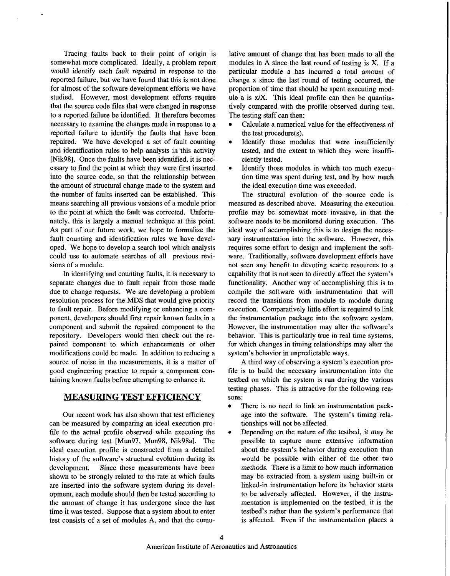Tracing faults back to their point of origin is somewhat more complicated. Ideally, a problem report would identify each fault repaired in response to the reported failure, but we have found that this is not done for almost of the software development efforts we have studied. However, most development efforts require that the source code files that were changed in response to a reported failure be identified. It therefore becomes necessary to examine the changes made in response to a reported failure to identify the faults that have been repaired. We have developed a set of fault counting and identification rules to help analysts in this activity [Nik98]. Once the faults have been identified, it is necessary to find the point at which they were first inserted into the source code, so that the relationship between the amount of structural change made to the system and the number of faults inserted can be established. This means searching all previous versions of a module prior to the point at which the fault was corrected. Unfortunately, this is largely a manual technique at this point. As part of our future work, we hope to formalize the fault counting and identification rules we have developed. We hope to develop a search tool which analysts could use to automate searches of all previous revisions of a module.

In identifying and counting faults, it is necessary to separate changes due to fault repair from those made due to change requests. We are developing a problem resolution process for the MDS that would give priority to fault repair. Before modifying or enhancing a component, developers should first repair known faults in a component and submit the repaired component to the repository. Developers would then check out the repaired component to which enhancements or other modifications could be made. In addition to reducing a source of noise in the measurements, it is a matter of good engineering practice to repair a component containing known faults before attempting to enhance it.

### **MEASURING TEST EFFICIENCY**

Our recent work has also shown that test efficiency can be measured by comparing an ideal execution profile to the actual profile observed while executing the software during test [Mun97, Mun98, Nik98a]. The ideal execution profile is constructed from a detailed history of the software's structural evolution during its development. Since these measurements have been shown to be strongly related to the rate at which faults are inserted into the software system during its development, each module should then be tested according to the amount of change it has undergone since the last time it was tested. Suppose that a system about to enter test consists of a set of modules **A,** and that the cumu-

lative amount of change that has been made to all the modules in A since the last round of testing is **X.** If a particular module a has incurred a total amount of change x since the last round of testing occurred, the proportion of time that should be spent executing module a is x/X. This ideal profile can then be quantitatively compared with the profile observed during test. The testing staff can then:

- Calculate a numerical value for the effectiveness of the test procedure(s).
- Identify those modules that were insufficiently tested, and the extent to which they were insufficiently tested.
- Identify those modules in which too much execution time was spent during test, and by how much the ideal execution time was exceeded.

The structural evolution of the source code is measured as described above. Measuring the execution profile may be somewhat more invasive, in that the software needs to be monitored during execution. The ideal way of accomplishing this is to design the necessary instrumentation into the software. However, this requires some effort to design and implement the software. Traditionally, software development efforts have not seen any benefit to devoting scarce resources to a capability that is not seen to directly affect the system's functionality. Another way of accomplishing this is to compile the software with instrumentation that will record the transitions from module to module during execution. Comparatively little effort is required to link the instrumentation package into the software system. However, the instrumentation may alter the software's behavior. This is particularly true in real time systems, for which changes in timing relationships may alter the system's behavior in unpredictable ways.

A third way of observing a system's execution profile is to build the necessary instrumentation into the testbed on which the system is run during the various testing phases. This is attractive for the following reasons:

- There is no need to link an instrumentation pack- $\bullet$ age into the software. The system's timing relationships will not be affected.
- Depending on the nature of the testbed, it may be possible to capture more extensive information about the system's behavior during execution than would be possible with either of the other two methods. There is a limit to how much information may be extracted from a system using built-in or linked-in instrumentation before its behavior starts to be adversely affected. However, if the instrumentation is implemented on the testbed, it **is** the testbed's rather than the system's performance that is affected. Even if the instrumentation places a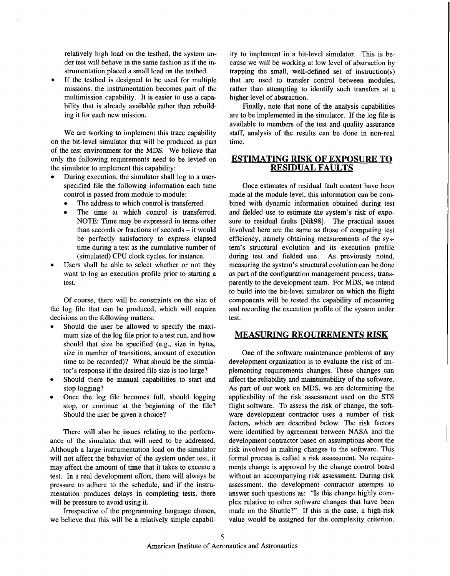relatively high load on the testbed, the system under test will behave in the same fashion as if the instrumentation placed a small load on the testbed.

If the testbed is designed to be used for multiple missions, the instrumentation becomes part of the multimission capability. It is easier to use a capability that is already available rather than rebuilding it for each new mission.

We are working to implement this trace capability on the bit-level simulator that will be produced as part of the test environment for the MDS. We believe that only the following requirements need to be levied on the simulator to implement this capability:

- During execution, the simulator shall log to a userspecified file the following information each time control is passed from module to module:
	- The address to which control is transferred.
	- The time at which control is transferred. NOTE: Time may be expressed in terms other than seconds or fractions of seconds - it would be perfectly satisfactory to express elapsed time during a test as the cumulative number of (simulated) **CPU** clock cycles, for instance.
- Users shall be able to select whether or not they want to log an execution profile prior to starting a test.

Of course, there will be constraints on the size of the log file that can be produced, which will require decisions on the following matters:

- Should the user be allowed to specify the maximum size of the log file prior to a test run, and how should that size be specified (e.g., size in bytes, size in number of transitions, amount of execution time to be recorded)? What should be the simulator's response if the desired file size is too large?
- Should there be manual capabilities to start and stop logging?
- Once the log file becomes full, should logging stop, or continue at the beginning of the file? Should the user be given a choice?

There will also be issues relating to the performance of the simulator that will need to be addressed. Although a large instrumentation load on the simulator will not affect the behavior of the system under test, it may affect the amount of time that it takes to execute a test. In a real development effort, there will always be pressure to adhere to the schedule, and if the instrumentation produces delays in completing tests, there will be pressure to avoid using it.

Irrespective of the programming language chosen, we believe that this will be a relatively simple capability to implement in a bit-level simulator. This is because we will be working at low level of abstraction by trapping the small, well-defined set of instruction(s) that are used to transfer control between modules, rather than attempting to identify such transfers at a higher level of abstraction.

Finally, note that none of the analysis capabilities are to be implemented in the simulator. If the log file is available to members of the test and quality assurance staff, analysis of the results can be done in non-real time.

### **ESTIMATING RISK OF EXPOSURE TO RESIDUAL FAULTS**

Once estimates of residual fault content have been made at the module level, this information can be combined with dynamic information obtained during test and fielded use to estimate the system's risk of exposure to residual faults [Nik98]. The practical issues involved here are the same as those of computing test efficiency, namely obtaining measurements of the system's structural evolution and its execution profile during test and fielded use. As previously noted, measuring the system's structural evolution can be done as part of the configuration management process, transparently to the development team. For MDS, we intend to build into the bit-level simulator on which the flight components will be tested the capability of measuring and recording the execution profile of the system under test.

### **MEASURING REQUIREMENTS RISK**

One of the software maintenance problems of any development organization is to evaluate the risk of implementing requirements changes. These changes can affect the reliability and maintainability of the software. As part of our work on MDS, we are determining the applicability of the risk assessment used on the STS flight software. To assess the risk of change, the software development contractor uses a number of risk factors, which are described below. The risk factors were identified by agreement between NASA and the development contractor based on assumptions about the risk involved in making changes to the software. This formal process is called a risk assessment. No requirements change is approved by the change control board without an accompanying risk assessment. During risk assessment, the development contractor attempts to answer such questions as: "Is this change highly complex relative to other software changes that have been made on the Shuttle?" If this is the case, a high-risk value would be assigned for the complexity criterion.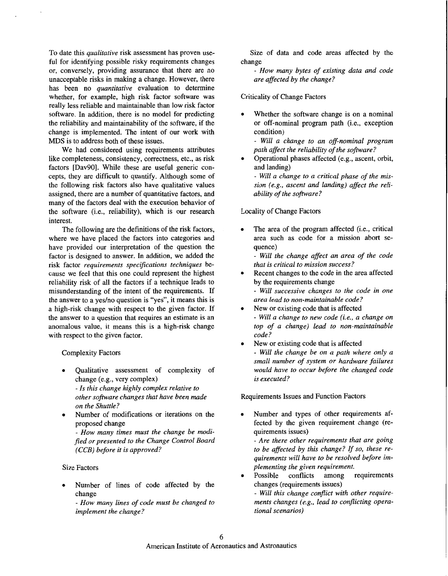To date this *qualitative* risk assessment has proven useful for identifying possible risky requirements changes or, conversely, providing assurance that there are no unacceptable risks in making a change. However, there has been no *quantitative* evaluation to determine whether, for example, high risk factor software was really less reliable and maintainable than low risk factor software. In addition, there is no model for predicting the reliability and maintainability of the software, if the change is implemented. The intent of our work with MDS is to address both of these issues.

We had considered using requirements attributes like completeness, consistency, correctness, etc., as risk factors [Dav90]. While these are useful generic concepts, they are difficult to quantify. Although some of the following risk factors also have qualitative values assigned, there are a number of quantitative factors, and many of the factors deal with the execution behavior of the software (i.e., reliability), which is our research interest.

The following are the definitions of the risk factors, where we have placed the factors into categories and have provided our interpretation of the question the factor is designed to answer. In addition, we added the risk factor *requirements specijications techniques* because we feel that this one could represent the highest reliability risk of all the factors if a technique leads to misunderstanding of the intent of the requirements. If the answer to a yes/no question is "yes", it means this is a high-risk change with respect to the given factor. If the answer to a question that requires an estimate is an anomalous value, it means this is a high-risk change with respect to the given factor.

Complexity Factors

- *0* Qualitative assessment of complexity of change (e.g., very complex) - *Is this change highly complex relative to other software changes that have been made on the Shuttle?*
- Number of modifications or iterations on the proposed change
	- *How many times must the change be modified or presented to the Change Control Board (CCB) before it is approved?*

#### Size Factors

- Number of lines of code affected by the change
	- *How many lines of code must be changed to implement the change?*

Size of data and code areas affected by the change

- *How many bytes of existing data and code are affected by the change?* 

Criticality of Change Factors

Whether the software change is on a nominal or off-nominal program path (i.e., exception condition)

- *Will a change to an off-nominal program path affect the reliability of the software?* 

*0* Operational phases affected (e.g., ascent, orbit, and landing)

- *Will a change to a critical phase of the mission (e.g., ascent and landing) affect the reliability of the software?* 

Locality of Change Factors

The area of the program affected (i.e., critical area such as code for a mission abort sequence)

- *Will the change affect an area of the code that is critical to mission success?* 

Recent changes to the code in the area affected by the requirements change

- *Will successive changes to the code in one area lead to non-maintainable code?* 

New or existing code that is affected

- *Will a change to new code (i.e., a change on top of a change) lead to non-maintainable code?* 

New or existing code that is affected - *Will the change be on a path where only a small number of system or hardware failures would have to occur before the changed code is executed?* 

Requirements Issues and Function Factors

Number and types of other requirements affected by the given requirement change (requirements issues)

- *Are there other requirements that are going to be affected by this change? If so, these requirements will have to be resolved before implementing the given requirement.* 

Possible conflicts among requirements changes (requirements issues)

- *Will this change conflict with other requirements changes (e.g., lead to conflicting operational scenarios)*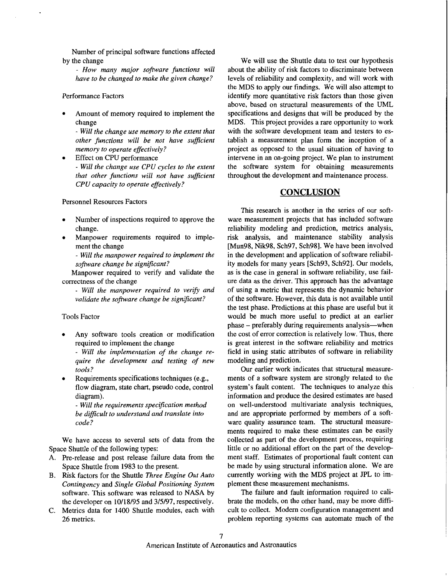Number of principal software functions affected by the change

- *How many major software functions will have to be changed to make the given change?* 

#### Performance Factors

Amount of memory required to implement the change

- *Will the change use memory to the extent that other functions will be not have suficient memory to operate effectively?* 

- *Will the change use CPU cycles to the extent that other functions will not have suficient CPU capacity to operate effectively?* **Effect on CPU performance** 

#### Personnel Resources Factors

- Number of inspections required to approve the change.
- Manpower requirements required to implement the change

- *Will the manpower required to implement the software change be signijicant?* 

Manpower required to verify and validate the correctness of the change

- *Will the manpower required to verify and validate the software change be signijicant?* 

#### Tools Factor

Any software tools creation or modification required to implement the change

- *Will the implementation of the change require the development and testing of new tools?* 

flow diagram, state chart, pseudo code, control diagram). Requirements specifications techniques (e.g.,

- *Will the requirements specijication method be dificult to understand and translate into code* ?

We have access to several sets of data from the Space Shuttle of the following types:

- A. Pre-release and post release failure data from the Space Shuttle from 1983 to the present.
- B. Risk factors for the Shuttle *Three Engine Out Auto Contingency* and *Single Global Positioning System*  software. This software was released to NASA by the developer on 10/18/95 and 3/5/97, respectively.
- **C.** Metrics data for 1400 Shuttle modules, each with 26 metrics.

We will use the Shuttle data to test our hypothesis about the ability of risk factors to discriminate between levels of reliability and complexity, and will work with the MDS to apply our findings. We will also attempt to identify more quantitative risk factors than those given above, based on structural measurements of the UML specifications and designs that will be produced by the MDS. This project provides a rare opportunity to work with the software development team and testers to establish a measurement plan form the inception of a project as opposed to the usual situation of having to intervene in an on-going project. We plan to instrument the software system for obtaining measurements throughout the development and maintenance process.

### **CONCLUSION**

This research is another in the series of our software measurement projects that has included software reliability modeling and prediction, metrics analysis, risk analysis, and maintenance stability analysis [Mun98, Nik98, Sch97, Sch981. We have been involved in the development and application of software reliability models for many years [Sch93, Sch92]. Our models, as is the case in general in software reliability, use failure data as the driver. This approach has the advantage of using a metric that represents the dynamic behavior of the software. However, this data is not available until the test phase. Predictions at this phase are useful but it would be much more useful to predict at an earlier phase – preferably during requirements analysis—when the cost of error correction is relatively low. Thus, there is great interest in the software reliability and metrics field in using static attributes of software in reliability modeling and prediction.

Our earlier work indicates that structural measurements of a software system are strongly related to the system's fault content. The techniques to analyze this information and produce the desired estimates are based on well-understood multivariate analysis techniques, and are appropriate performed by members of a software quality assurance team. The structural measurements required to make these estimates can be easily collected as part of the development process, requiring little or no additional effort on the part of the development staff. Estimates of proportional fault content can be made by using structural information alone. We are currently working with the MDS project at JPL to implement these measurement mechanisms.

The failure and fault information required to calibrate the models, on the other hand, may be more difficult to collect. Modern configuration management and problem reporting systems can automate much of the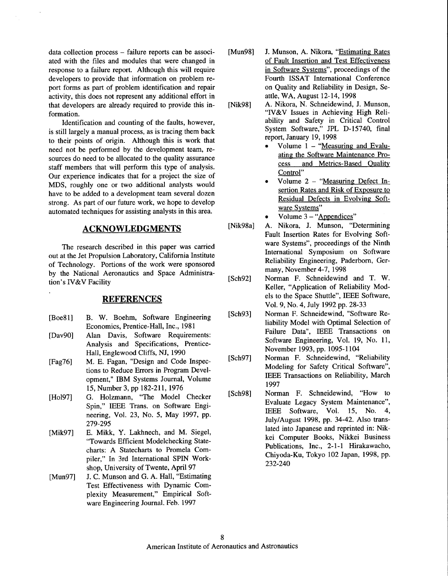data collection process - failure reports can be associated with the files and modules that were changed in response to a failure report. Although this will require developers to provide that information on problem report forms as part of problem identification and repair activity, this does not represent any additional effort in that developers are already required to provide this information.

Identification and counting of the faults, however, is still largely a manual process, as is tracing them back to their points of origin. Although this is work that need not be performed by the development team, resources do need to be allocated to the quality assurance staff members that will perform this type of analysis. Our experience indicates that for a project the size of MDS, roughly one or two additional analysts would have to be added to a development team several dozen strong. As part of our future work, we hope to develop automated techniques for assisting analysts in this area.

#### **ACKNOWLEDGMENTS**

The research described in this paper was carried out at the Jet Propulsion Laboratory, California Institute of Technology. Portions of the work were sponsored by the National Aeronautics and Space Administration's IV&V Facility

### **REFERENCES**

- [Boe81] B. W. Boehm, Software Engineering Economics, Prentice-Hall, Inc., 198 1
- [Dav90] Alan Davis, Software Requirements: Analysis and Specifications, Prentice-Hall, Englewood Cliffs, NJ, 1990
- [Fag761 M. E. Fagan, "Design and Code Inspections to Reduce Errors in Program Development," IBM Systems Journal, Volume 15, Number 3, pp 182-211, 1976
- [Ho197] G. Holzmann, "The Model Checker Spin," IEEE Trans. on Software Engineering, Vol. 23, No. **5,** May 1997, pp. 279-295
- [Mik97] E. Mikk, Y. Lakhnech, and M. Siegel, "Towards Efficient Modelchecking Statecharts: A Statecharts to Promela Compiler," In 3rd International SPIN Workshop, University of Twente, April 97
- [Mun97] J. C. Munson and G. A. Hall, "Estimating Test Effectiveness with Dynamic Complexity Measurement," Empirical Software Engineering Journal. Feb. 1997
- Mun981 J. Munson, A. Nikora, "Estimating Rates of Fault Insertion and Test Effectiveness in Software Svstems", proceedings of the Fourth ISSAT International Conference on Quality and Reliability in Design, Seattle, WA, August 12-14, 1998
- Nik981 A. Nikora, N. Schneidewind, J. Munson, "IV&V Issues in Achieving High Reliability and Safety in Critical Control System Software," JPL D-15740, final report, January 19, 1998
	- Volume 1 "Measuring and Evaluating the Software Maintenance Process and Metrics-Based Quality Control"
	- Volume 2 "Measuring Defect Insertion Rates and Risk of Exposure to Residual Defects in Evolving Software Systems"
	- Volume 3 "Appendices"
- [Nik98a] A. Nikora, J. Munson, "Determining Fault Insertion Rates for Evolving Software Systems", proceedings of the Ninth International Symposium on Software Reliability Engineering, Paderborn, Germany, November 4-7,1998
- [Sch92] Norman F. Schneidewind and T. W. Keller, "Application of Reliability Models to the Space Shuttle", IEEE Software, Vol. 9, NO. **4,** July 1992 pp. 28-33
- [Sch93] Norman F. Schneidewind, "Software Reliability Model with Optimal Selection of Failure Data", IEEE Transactions on Software Engineering, Vol. 19, No. 11, November 1993, pp. 1095-1 104
- [Sch97] Norman F. Schneidewind, "Reliability Modeling for Safety Critical Software", IEEE Transactions on Reliability, March 1997
- [Sch98] Norman F. Schneidewind, "How to Evaluate Legacy System Maintenance", IEEE Software, Vol. 15, No. 4, July/August 1998, pp. 34-42. Also translated into Japanese and reprinted in: Nikkei Computer Books, Nikkei Business Publications, Inc., 2-1-1 Hirakawacho, Chiyoda-Ku, Tokyo 102 Japan, 1998, pp. 232-240